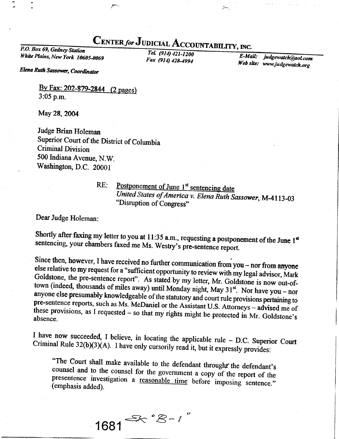## CENTER for JUDICIAL ACCOUNTABILITY, INC.

P.O. Box 69, Gedney Station White Plains, New York 10605-0069

Tel. (914) 421-1200 Fax (914) 428-4994

E-Mail: judgewatch@aol.com Web site: www.judgewatch.org

Elena Ruth Sassower, Coordinator

By Fax: 202-879-2844 (2 pages) 3:05 p.m.

May 28, 2004

Judge Brian Holeman Superior Court of the District of Columbia **Criminal Division** 500 Indiana Avenue, N.W. Washington, D.C. 20001

 $RE:$ 

Postponement of June 1<sup>st</sup> sentencing date United States of America v. Elena Ruth Sassower, M-4113-03 "Disruption of Congress"

Dear Judge Holeman:

Shortly after faxing my letter to you at 11:35 a.m., requesting a postponement of the June 1st sentencing, your chambers faxed me Ms. Westry's pre-sentence report.

Since then, however, I have received no further communication from you - nor from anyone else relative to my request for a "sufficient opportunity to review with my legal advisor, Mark Goldstone, the pre-sentence report". As stated by my letter, Mr. Goldstone is now out-oftown (indeed, thousands of miles away) until Monday night, May 31<sup>st</sup>. Nor have you - nor anyone else presumably knowledgeable of the statutory and court rule provisions pertaining to pre-sentence reports, such as Ms. McDaniel or the Assistant U.S. Attorneys - advised me of these provisions, as I requested  $-$  so that my rights might be protected in Mr. Goldstone's absence.

I have now succeeded, I believe, in locating the applicable rule - D.C. Superior Court Criminal Rule 32(b)(3)(A). I have only cursorily read it, but it expressly provides:

"The Court shall make available to the defendant throught the defendant's counsel and to the counsel for the government a copy of the report of the presentence investigation a reasonable time before imposing sentence." (emphasis added).

 $1681 \frac{56.68 - 1}{25.68}$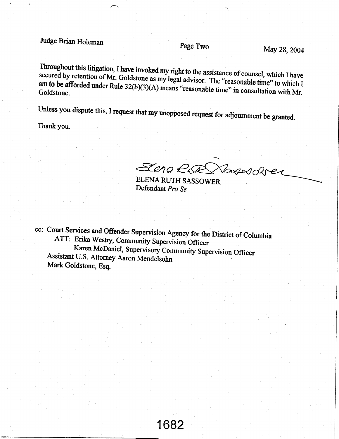Judge Brian Holeman Page Two May 28, 2004

Throughout secured by retention of this litigation, I ation, I have invoked my right to the assistance of counsel, which I have<br>of Mr. Goldstone as my legal advisor. The "reasonable time" to which I am to be afforded under Rule  $32(b)(3)(A)$  means "reasonable time" in consultative which I  $\frac{1}{2}$  Goldstone.<br>Goldstone.

Unless you dispute this, I request that my unopposed request for adjournment be granted.

Thank you.

saao€&d?r< ELENA CLOC VERSIORIER

Defendant Pro Se

cc: Court Services and Offender Supervision Agency for the District of Columbia<br>ATT: Erika Westry, Community Supervision Officer Karen McDaniel, Supervisory Community Supervision Officer<br>Assistant U.S. Attorney Aaron Mendelsohn y Su<sub>l</sub> Assistant U.S. Attorney Aaron Mendelsohn<br>Mark Goldstone, Esq.